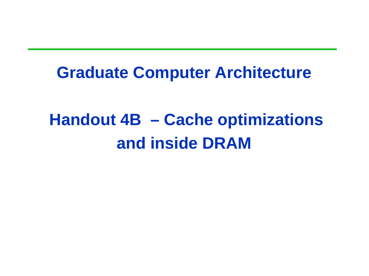### **Graduate Computer Architecture**

# **Handout 4B – Cache optimizations and inside DRAM**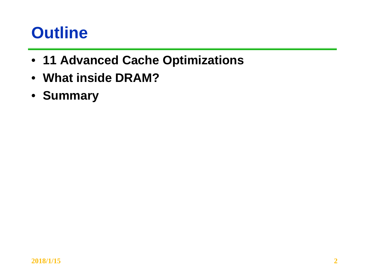### **Outline**

- **11 Advanced Cache Optimizations**
- **What inside DRAM?**
- **Summary**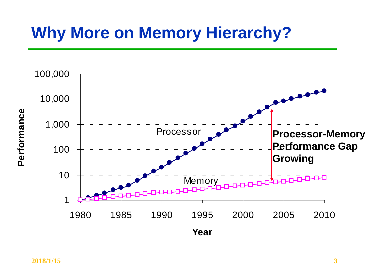### **Why More on Memory Hierarchy?**

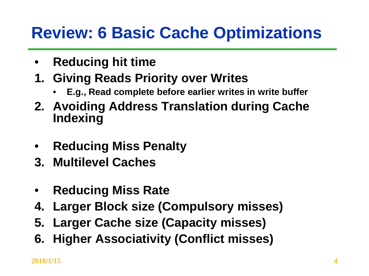### **Review: 6 Basic Cache Optimizations**

- **Reducing hit time**
- **1. Giving Reads Priority over Writes** 
	- **E.g., Read complete before earlier writes in write buffer**
- **2. Avoiding Address Translation during Cache Indexing**
- **Reducing Miss Penalty**
- **3. Multilevel Caches**
- **Reducing Miss Rate**
- **4. Larger Block size (Compulsory misses)**
- **5. Larger Cache size (Capacity misses)**
- **6. Higher Associativity (Conflict misses)**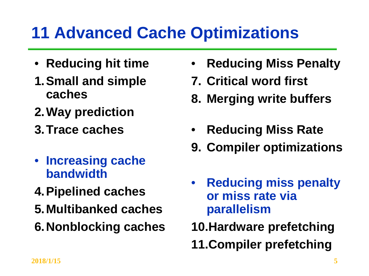# **11 Advanced Cache Optimizations**

- **Reducing hit time**
- **1.Small and simple caches**
- **2.Way prediction**
- **3.Trace caches**
- **Increasing cache bandwidth**
- **4.Pipelined caches**
- **5.Multibanked caches**
- **6.Nonblocking caches**
- **Reducing Miss Penalty**
- **7. Critical word first**
- **8. Merging write buffers**
- **Reducing Miss Rate**
- **9. Compiler optimizations**
- **Reducing miss penalty or miss rate via parallelism**
- **10.Hardware prefetching**
- **11.Compiler prefetching**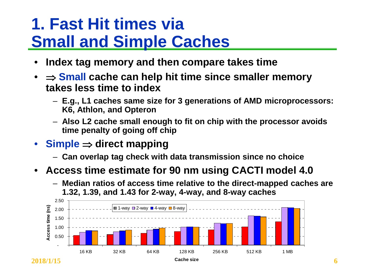### **1. Fast Hit times via Small and Simple Caches**

- **Index tag memory and then compare takes time**
- $\Rightarrow$  **Small cache can help hit time since smaller memory takes less time to index**
	- **E.g., L1 caches same size for 3 generations of AMD microprocessors: K6, Athlon, and Opteron**
	- **Also L2 cache small enough to fit on chip with the processor avoids time penalty of going off chip**
- **Simple** ⇒ **direct mapping**
	- **Can overlap tag check with data transmission since no choice**
- **Access time estimate for 90 nm using CACTI model 4.0**
	- **Median ratios of access time relative to the direct-mapped caches are 1.32, 1.39, and 1.43 for 2-way, 4-way, and 8-way caches**

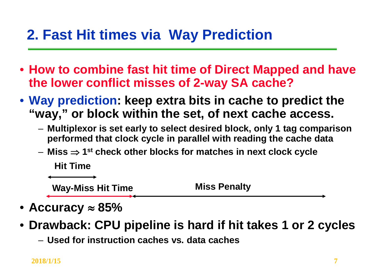### **2. Fast Hit times via Way Prediction**

- **How to combine fast hit time of Direct Mapped and have the lower conflict misses of 2-way SA cache?**
- **Way prediction: keep extra bits in cache to predict the "way," or block within the set, of next cache access.** 
	- **Multiplexor is set early to select desired block, only 1 tag comparison performed that clock cycle in parallel with reading the cache data**
	- **Miss** ⇒ **1st check other blocks for matches in next clock cycle**

**Hit Time**

**Way-Miss Hit Time Miss Penalty**

- **Accuracy** ≈ **85%**
- **Drawback: CPU pipeline is hard if hit takes 1 or 2 cycles**
	- **Used for instruction caches vs. data caches**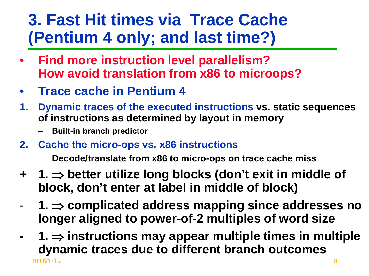### **3. Fast Hit times via Trace Cache (Pentium 4 only; and last time?)**

- **Find more instruction level parallelism? How avoid translation from x86 to microops?**
- **Trace cache in Pentium 4**
- **1. Dynamic traces of the executed instructions vs. static sequences of instructions as determined by layout in memory**
	- **Built-in branch predictor**
- **2. Cache the micro-ops vs. x86 instructions**
	- **Decode/translate from x86 to micro-ops on trace cache miss**
- **+ 1.** ⇒ **better utilize long blocks (don't exit in middle of block, don't enter at label in middle of block)**
- **1.** ⇒ **complicated address mapping since addresses no longer aligned to power-of-2 multiples of word size**
- **2018/1/15 8 - 1.** ⇒ **instructions may appear multiple times in multiple dynamic traces due to different branch outcomes**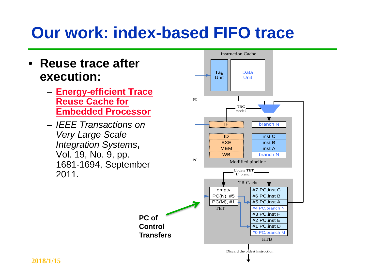### **Our work: index-based FIFO trace**



Discard the oldest instruction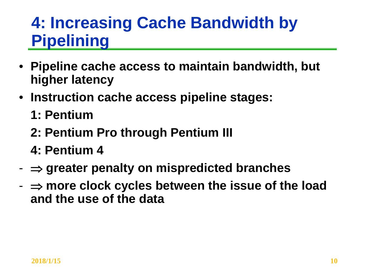### **4: Increasing Cache Bandwidth by Pipelining**

- **Pipeline cache access to maintain bandwidth, but higher latency**
- **Instruction cache access pipeline stages:**
	- **1: Pentium**
	- **2: Pentium Pro through Pentium III**
	- **4: Pentium 4**
- ⇒ **greater penalty on mispredicted branches**
- ⇒ **more clock cycles between the issue of the load and the use of the data**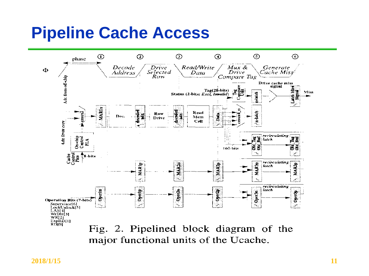### **Pipeline Cache Access**



major functional units of the Ucache.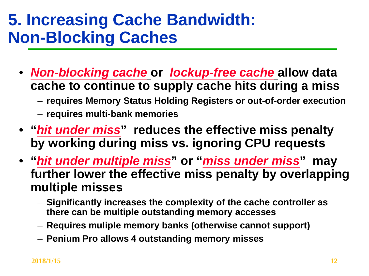### **5. Increasing Cache Bandwidth: Non-Blocking Caches**

- *Non-blocking cache* **or** *lockup-free cache* **allow data cache to continue to supply cache hits during a miss**
	- **requires Memory Status Holding Registers or out-of-order execution**
	- **requires multi-bank memories**
- **"***hit under miss***" reduces the effective miss penalty by working during miss vs. ignoring CPU requests**
- **"***hit under multiple miss***" or "***miss under miss***" may further lower the effective miss penalty by overlapping multiple misses**
	- **Significantly increases the complexity of the cache controller as there can be multiple outstanding memory accesses**
	- **Requires muliple memory banks (otherwise cannot support)**
	- **Penium Pro allows 4 outstanding memory misses**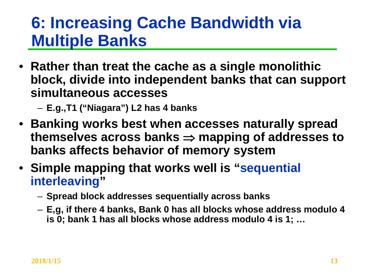### **6: Increasing Cache Bandwidth via Multiple Banks**

- **Rather than treat the cache as a single monolithic block, divide into independent banks that can support simultaneous accesses**
	- **E.g.,T1 ("Niagara") L2 has 4 banks**
- **Banking works best when accesses naturally spread themselves across banks** ⇒ **mapping of addresses to banks affects behavior of memory system**
- **Simple mapping that works well is "sequential interleaving"** 
	- **Spread block addresses sequentially across banks**
	- **E,g, if there 4 banks, Bank 0 has all blocks whose address modulo 4 is 0; bank 1 has all blocks whose address modulo 4 is 1; …**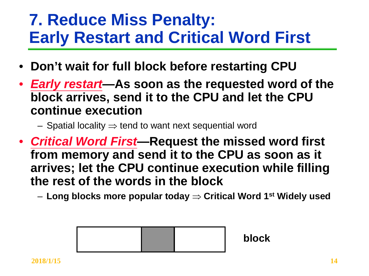### **7. Reduce Miss Penalty: Early Restart and Critical Word First**

- **Don't wait for full block before restarting CPU**
- *Early restart***—As soon as the requested word of the block arrives, send it to the CPU and let the CPU continue execution**
	- Spatial locality  $\Rightarrow$  tend to want next sequential word
- *Critical Word First***—Request the missed word first from memory and send it to the CPU as soon as it arrives; let the CPU continue execution while filling the rest of the words in the block**
	- **Long blocks more popular today** ⇒ **Critical Word 1st Widely used**

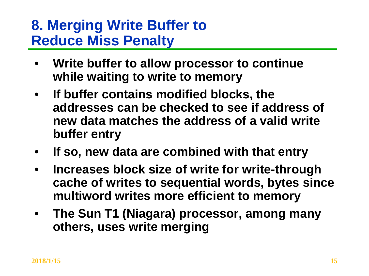### **8. Merging Write Buffer to Reduce Miss Penalty**

- **Write buffer to allow processor to continue while waiting to write to memory**
- **If buffer contains modified blocks, the addresses can be checked to see if address of new data matches the address of a valid write buffer entry**
- **If so, new data are combined with that entry**
- **Increases block size of write for write-through cache of writes to sequential words, bytes since multiword writes more efficient to memory**
- **The Sun T1 (Niagara) processor, among many others, uses write merging**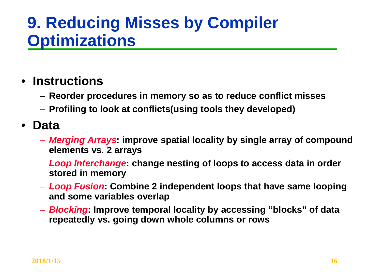### **9. Reducing Misses by Compiler Optimizations**

#### • **Instructions**

- **Reorder procedures in memory so as to reduce conflict misses**
- **Profiling to look at conflicts(using tools they developed)**

#### • **Data**

- *Merging Arrays***: improve spatial locality by single array of compound elements vs. 2 arrays**
- *Loop Interchange***: change nesting of loops to access data in order stored in memory**
- *Loop Fusion***: Combine 2 independent loops that have same looping and some variables overlap**
- *Blocking***: Improve temporal locality by accessing "blocks" of data repeatedly vs. going down whole columns or rows**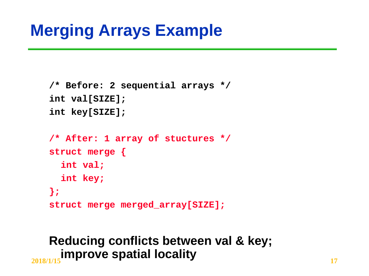### **Merging Arrays Example**

```
/* Before: 2 sequential arrays */
int val[SIZE];
int key[SIZE];
/* After: 1 array of stuctures */
struct merge {
  int val;
  int key;
};
struct merge merged_array[SIZE];
```
### **2018/1/15 17 improve spatial localityReducing conflicts between val & key;**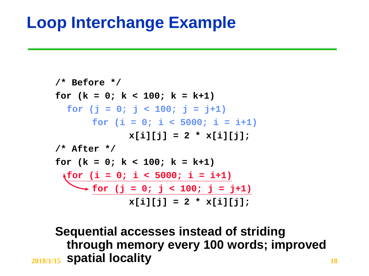### **Loop Interchange Example**

```
/* Before */
for (k = 0; k < 100; k = k+1)
  for (j = 0; j < 100; j = j+1)
       for (i = 0; i < 5000; i = i+1)
              x[i][i] = 2 * x[i][j];/* After */
for (k = 0; k < 100; k = k+1)
 for (i = 0; i < 5000; i = i+1)
    \rightarrow for (j = 0; j < 100; j = j+1)
              x[i][j] = 2 * x[i][j];
```
**2018/1/15 18 spatial localitySequential accesses instead of striding through memory every 100 words; improved**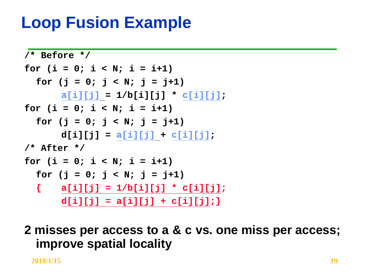### **Loop Fusion Example**

```
/* Before */
for (i = 0; i < N; i = i+1)
  for (j = 0; j < N; j = j+1)
      a[i][j] = 1/b[i][j] * c[i][j];
for (i = 0; i < N; i = i+1)
  for (j = 0; j < N; j = j+1)
      d[i][j] = a[i][j] + c[i][j];
/* After */
for (i = 0; i < N; i = i+1)
  for (j = 0; j < N; j = j+1)
  { a[i][j] = 1/b[i][j] * c[i][j];
      d[i][j] = a[i][j] + c[i][j];}
```
**2 misses per access to a & c vs. one miss per access; improve spatial locality**

**2018/1/15 19**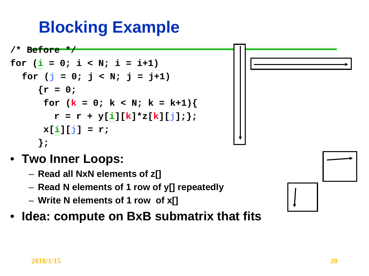# **Blocking Example**

```
/* Before */
for (i = 0; i < N; i = i+1)for (j = 0; j < N; j = j+1){x = 0;}for (k = 0; k < N; k = k+1)r = r + y[i][k]*z[k][j];x[i][j] = r;
     };
```
- **Two Inner Loops:**
	- **Read all NxN elements of z[]**
	- **Read N elements of 1 row of y[] repeatedly**
	- **Write N elements of 1 row of x[]**
- **Idea: compute on BxB submatrix that fits**

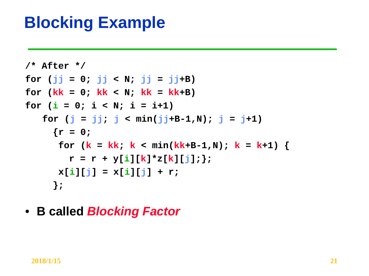### **Blocking Example**

```
/* After */
for (jj = 0; jj < N; jj = jj+B)
for (kk = 0; kk < N; kk = kk+B)for (i = 0; i < N; i = i+1)for (j = jj; j < min(jj+B-1,N); j = j+1)
     \{r = 0;for (k = kk; k < min(kk+B-1,N); k = k+1) {
       r = r + y[i][k]*z[k][j];x[i][j] = x[i][j] + r;};
```
• **B called** *Blocking Factor*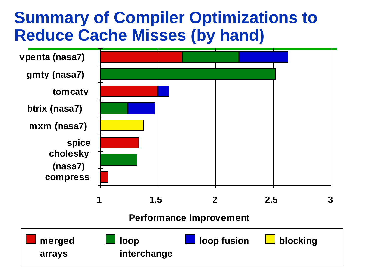### **Summary of Compiler Optimizations to Reduce Cache Misses (by hand)**

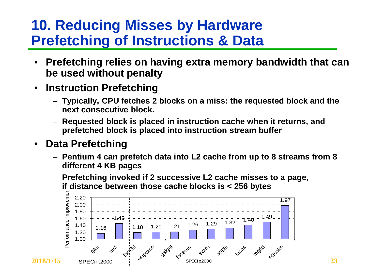### **10. Reducing Misses by Hardware Prefetching of Instructions & Data**

- **Prefetching relies on having extra memory bandwidth that can be used without penalty**
- **Instruction Prefetching**
	- **Typically, CPU fetches 2 blocks on a miss: the requested block and the next consecutive block.**
	- **Requested block is placed in instruction cache when it returns, and prefetched block is placed into instruction stream buffer**

#### • **Data Prefetching**

- **Pentium 4 can prefetch data into L2 cache from up to 8 streams from 8 different 4 KB pages**
- **Prefetching invoked if 2 successive L2 cache misses to a page, if distance between those cache blocks is < 256 bytes**

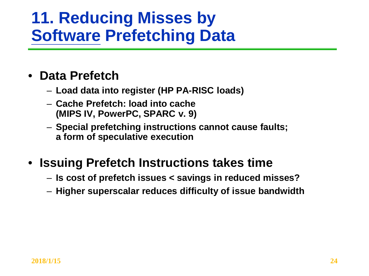### **11. Reducing Misses by Software Prefetching Data**

#### • **Data Prefetch**

- **Load data into register (HP PA-RISC loads)**
- **Cache Prefetch: load into cache (MIPS IV, PowerPC, SPARC v. 9)**
- **Special prefetching instructions cannot cause faults; a form of speculative execution**

### • **Issuing Prefetch Instructions takes time**

- **Is cost of prefetch issues < savings in reduced misses?**
- **Higher superscalar reduces difficulty of issue bandwidth**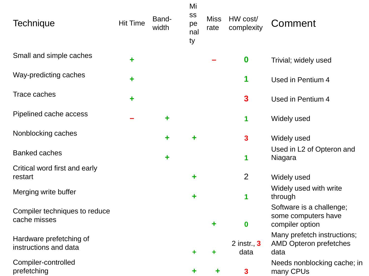| <b>Technique</b>                                 | <b>Hit Time</b> | Band-<br>width | Mi<br>SS<br>pe<br>nal<br>ty | <b>Miss</b><br>rate | HW cost/<br>complexity | Comment                                                              |
|--------------------------------------------------|-----------------|----------------|-----------------------------|---------------------|------------------------|----------------------------------------------------------------------|
| Small and simple caches                          | ٠               |                |                             |                     | $\boldsymbol{0}$       | Trivial; widely used                                                 |
| Way-predicting caches                            | ٠               |                |                             |                     | 1                      | Used in Pentium 4                                                    |
| Trace caches                                     | ٠               |                |                             |                     | $\mathbf{3}$           | Used in Pentium 4                                                    |
| Pipelined cache access                           |                 | ٠              |                             |                     | 1                      | Widely used                                                          |
| Nonblocking caches                               |                 |                |                             |                     | $\mathbf{3}$           | Widely used                                                          |
| <b>Banked caches</b>                             |                 | ÷              |                             |                     | 1                      | Used in L2 of Opteron and<br>Niagara                                 |
| Critical word first and early<br>restart         |                 |                | ٠                           |                     | $\overline{2}$         | Widely used                                                          |
| Merging write buffer                             |                 |                | ٠                           |                     | 1                      | Widely used with write<br>through                                    |
| Compiler techniques to reduce<br>cache misses    |                 |                |                             | ٠                   | $\boldsymbol{0}$       | Software is a challenge;<br>some computers have<br>compiler option   |
| Hardware prefetching of<br>instructions and data |                 |                | ٠                           | ٠                   | 2 instr., $3$<br>data  | Many prefetch instructions;<br><b>AMD Opteron prefetches</b><br>data |
| Compiler-controlled<br>prefetching               |                 |                |                             |                     | $\mathbf{3}$           | Needs nonblocking cache; in<br>many CPUs                             |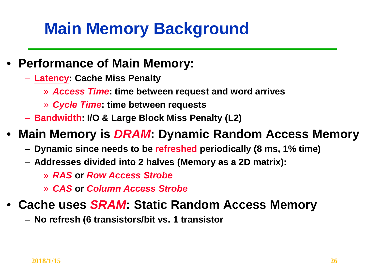# **Main Memory Background**

- **Performance of Main Memory:** 
	- **Latency: Cache Miss Penalty**
		- » *Access Time***: time between request and word arrives**
		- » *Cycle Time***: time between requests**
	- **Bandwidth: I/O & Large Block Miss Penalty (L2)**

### • **Main Memory is** *DRAM***: Dynamic Random Access Memory**

- **Dynamic since needs to be refreshed periodically (8 ms, 1% time)**
- **Addresses divided into 2 halves (Memory as a 2D matrix):**
	- » *RAS* **or** *Row Access Strobe*
	- » *CAS* **or** *Column Access Strobe*

### • **Cache uses** *SRAM***: Static Random Access Memory**

– **No refresh (6 transistors/bit vs. 1 transistor**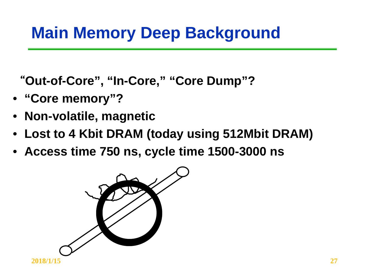### **Main Memory Deep Background**

"**Out-of-Core", "In-Core," "Core Dump"?**

- **"Core memory"?**
- **Non-volatile, magnetic**
- **Lost to 4 Kbit DRAM (today using 512Mbit DRAM)**
- **Access time 750 ns, cycle time 1500-3000 ns**

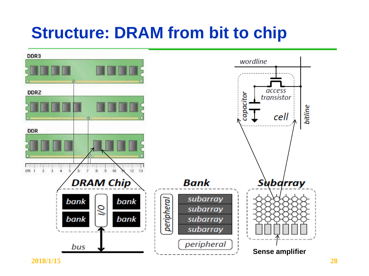### **Structure: DRAM from bit to chip**



**2018/1/15 28**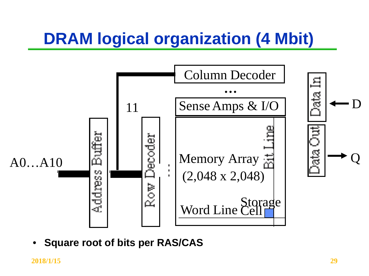# **DRAM logical organization (4 Mbit)**



• **Square root of bits per RAS/CAS**

**2018/1/15 29**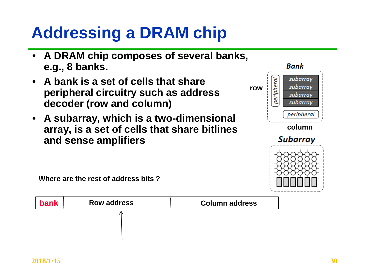# **Addressing a DRAM chip**

- **A DRAM chip composes of several banks, e.g., 8 banks.**
- **A bank is a set of cells that share peripheral circuitry such as address decoder (row and column)**
- **A subarray, which is a two-dimensional array, is a set of cells that share bitlines and sense amplifiers**



**Where are the rest of address bits ?**

| bank | <b>Row address</b> | <b>Column address</b> |
|------|--------------------|-----------------------|
|      |                    |                       |
|      |                    |                       |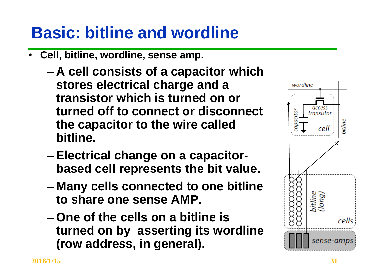## **Basic: bitline and wordline**

- **Cell, bitline, wordline, sense amp.**
	- **A cell consists of a capacitor which stores electrical charge and a transistor which is turned on or turned off to connect or disconnect the capacitor to the wire called bitline.**
	- **Electrical change on a capacitorbased cell represents the bit value.**
	- **Many cells connected to one bitline to share one sense AMP.**
	- **One of the cells on a bitline is turned on by asserting its wordline (row address, in general).**

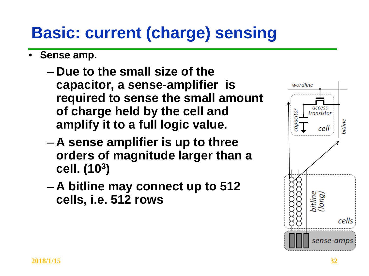# **Basic: current (charge) sensing**

- **Sense amp.**
	- **Due to the small size of the capacitor, a sense-amplifier is required to sense the small amount of charge held by the cell and amplify it to a full logic value.**
	- **A sense amplifier is up to three orders of magnitude larger than a cell. (103)**
	- **A bitline may connect up to 512 cells, i.e. 512 rows**

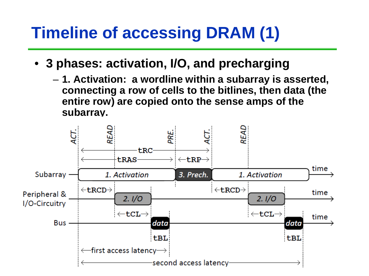# **Timeline of accessing DRAM (1)**

- **3 phases: activation, I/O, and precharging**
	- **1. Activation: a wordline within a subarray is asserted, connecting a row of cells to the bitlines, then data (the entire row) are copied onto the sense amps of the subarray.**

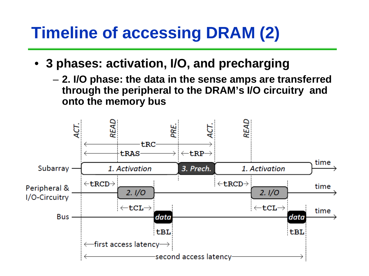# **Timeline of accessing DRAM (2)**

- **3 phases: activation, I/O, and precharging**
	- **2. I/O phase: the data in the sense amps are transferred through the peripheral to the DRAM's I/O circuitry and onto the memory bus**

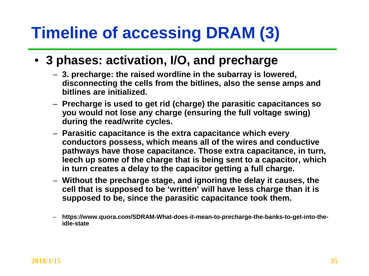# **Timeline of accessing DRAM (3)**

### • **3 phases: activation, I/O, and precharge**

- **3. precharge: the raised wordline in the subarray is lowered, disconnecting the cells from the bitlines, also the sense amps and bitlines are initialized.**
- **Precharge is used to get rid (charge) the parasitic capacitances so you would not lose any charge (ensuring the full voltage swing) during the read/write cycles.**
- **Parasitic capacitance is the extra capacitance which every conductors possess, which means all of the wires and conductive pathways have those capacitance. Those extra capacitance, in turn, leech up some of the charge that is being sent to a capacitor, which in turn creates a delay to the capacitor getting a full charge.**
- **Without the precharge stage, and ignoring the delay it causes, the cell that is supposed to be 'written' will have less charge than it is supposed to be, since the parasitic capacitance took them.**
- **https://www.quora.com/SDRAM-What-does-it-mean-to-precharge-the-banks-to-get-into-theidle-state**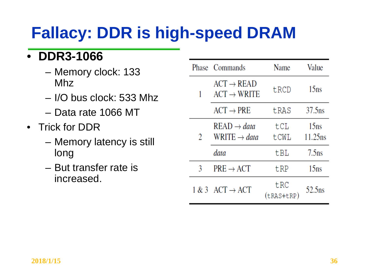# **Fallacy: DDR is high-speed DRAM**

### • **DDR3-1066**

- Memory clock: 133 Mhz
- I/O bus clock: 533 Mhz
- Data rate 1066 MT
- Trick for DDR
	- Memory latency is still long
	- But transfer rate is increased.

|   | Phase Commands                                      | Name              | Value                          |
|---|-----------------------------------------------------|-------------------|--------------------------------|
| 1 | $ACT \rightarrow READ$<br>$ACT \rightarrow WRITE$   | tRCD              | 15 <sub>ns</sub>               |
|   | $ACT \rightarrow PRE$                               | tRAS              | $37.5$ ns                      |
| 2 | $READ \rightarrow data$<br>WRITE $\rightarrow data$ | tCL<br>tCWL       | 15 <sub>ns</sub><br>$11.25$ ns |
|   | data                                                | tBL               | 7.5 <sub>ns</sub>              |
| 3 | $PRE \rightarrow ACT$                               | tRP               | 15 <sub>ns</sub>               |
|   | $1 \& 3$ ACT $\rightarrow$ ACT                      | tRC<br>(tRAS+tRP) | 52.5 <sub>ns</sub>             |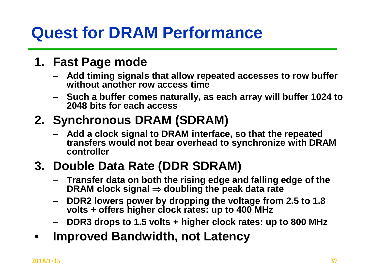# **Quest for DRAM Performance**

#### **1. Fast Page mode**

- **Add timing signals that allow repeated accesses to row buffer without another row access time**
- **Such a buffer comes naturally, as each array will buffer 1024 to 2048 bits for each access**

### **2. Synchronous DRAM (SDRAM)**

– **Add a clock signal to DRAM interface, so that the repeated transfers would not bear overhead to synchronize with DRAM controller**

### **3. Double Data Rate (DDR SDRAM)**

- **Transfer data on both the rising edge and falling edge of the DRAM clock signal** ⇒ **doubling the peak data rate**
- **DDR2 lowers power by dropping the voltage from 2.5 to 1.8 volts + offers higher clock rates: up to 400 MHz**
- **DDR3 drops to 1.5 volts + higher clock rates: up to 800 MHz**
- **Improved Bandwidth, not Latency**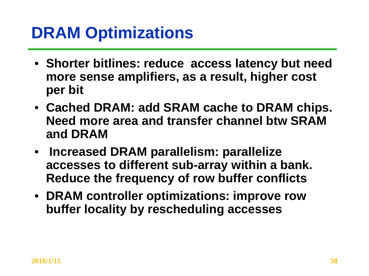## **DRAM Optimizations**

- **Shorter bitlines: reduce access latency but need more sense amplifiers, as a result, higher cost per bit**
- **Cached DRAM: add SRAM cache to DRAM chips. Need more area and transfer channel btw SRAM and DRAM**
- **Increased DRAM parallelism: parallelize accesses to different sub-array within a bank. Reduce the frequency of row buffer conflicts**
- **DRAM controller optimizations: improve row buffer locality by rescheduling accesses**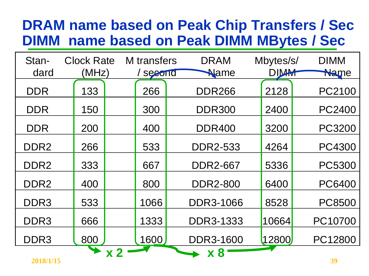### **DRAM name based on Peak Chip Transfers / Sec DIMM name based on Peak DIMM MBytes / Sec**

| Stan-             | <b>Clock Rate</b> | M transfers | <b>DRAM</b>                 | Mbytes/s/   | <b>DIMM</b>   |
|-------------------|-------------------|-------------|-----------------------------|-------------|---------------|
| dard              | (MHz)             | second      | Name                        | <b>DIMM</b> | Name          |
| <b>DDR</b>        | 133               | 266         | <b>DDR266</b>               | 2128        | PC2100        |
| <b>DDR</b>        | 150               | 300         | <b>DDR300</b>               | 2400        | <b>PC2400</b> |
| <b>DDR</b>        | 200               | 400         | <b>DDR400</b>               | 3200        | <b>PC3200</b> |
| DDR <sub>2</sub>  | 266               | 533         | <b>DDR2-533</b>             | 4264        | <b>PC4300</b> |
| DDR <sub>2</sub>  | 333               | 667         | <b>DDR2-667</b>             | 5336        | <b>PC5300</b> |
| DDR <sub>2</sub>  | 400               | 800         | <b>DDR2-800</b>             | 6400        | <b>PC6400</b> |
| DDR <sub>3</sub>  | 533               | 1066        | <b>DDR3-1066</b>            | 8528        | <b>PC8500</b> |
| DDR <sub>3</sub>  | 666               | 1333        | <b>DDR3-1333</b>            | 10664       | PC10700       |
| DDR <sub>3</sub>  | 800               | 1600        | <b>DDR3-1600</b>            | 12800       | PC12800       |
| $A A 4 A 14 14 F$ |                   | <b>x 2</b>  | $\boldsymbol{\mathsf{x}}$ 8 |             | $\mathbf{a}$  |

**2018/1/15 39**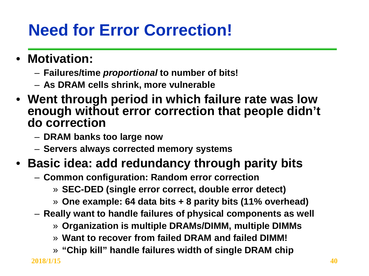# **Need for Error Correction!**

- **Motivation:**
	- **Failures/time** *proportional* **to number of bits!**
	- **As DRAM cells shrink, more vulnerable**
- **Went through period in which failure rate was low enough without error correction that people didn't do correction**
	- **DRAM banks too large now**
	- **Servers always corrected memory systems**

### • **Basic idea: add redundancy through parity bits**

- **Common configuration: Random error correction**
	- » **SEC-DED (single error correct, double error detect)**
	- » **One example: 64 data bits + 8 parity bits (11% overhead)**
- **Really want to handle failures of physical components as well**
	- » **Organization is multiple DRAMs/DIMM, multiple DIMMs**
	- » **Want to recover from failed DRAM and failed DIMM!**
	- » **"Chip kill" handle failures width of single DRAM chip**

**2018/1/15 40**